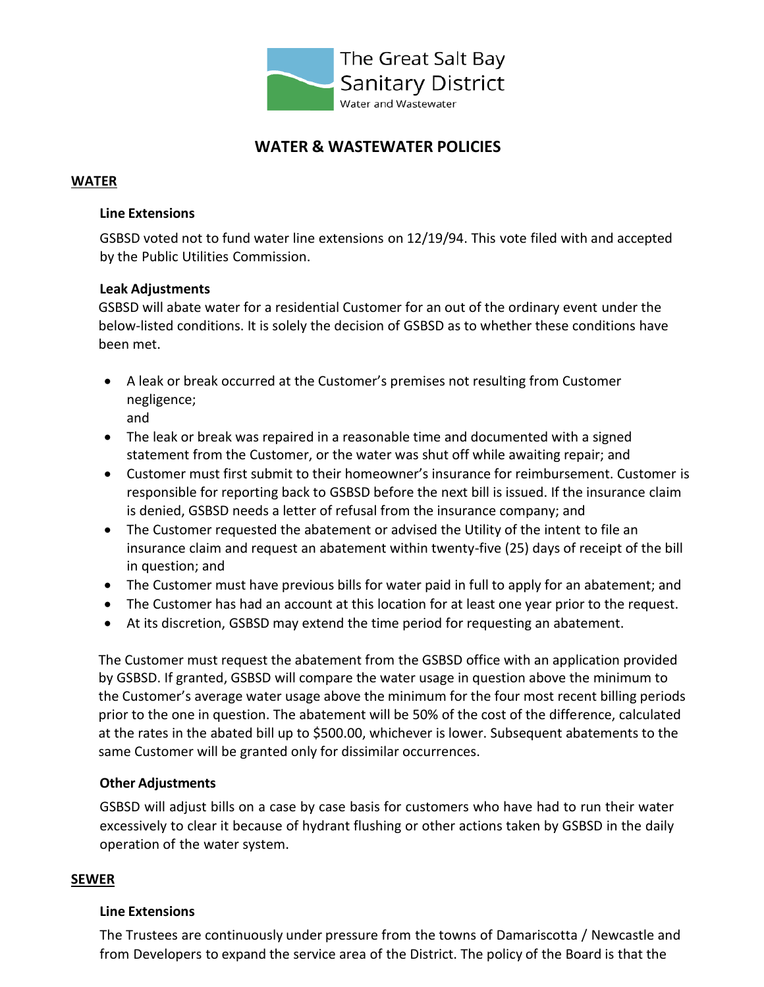

# **WATER & WASTEWATER POLICIES**

## **WATER**

#### **Line Extensions**

GSBSD voted not to fund water line extensions on 12/19/94. This vote filed with and accepted by the Public Utilities Commission.

#### **Leak Adjustments**

GSBSD will abate water for a residential Customer for an out of the ordinary event under the below-listed conditions. It is solely the decision of GSBSD as to whether these conditions have been met.

- A leak or break occurred at the Customer's premises not resulting from Customer negligence;
	- and
- The leak or break was repaired in a reasonable time and documented with a signed statement from the Customer, or the water was shut off while awaiting repair; and
- Customer must first submit to their homeowner's insurance for reimbursement. Customer is responsible for reporting back to GSBSD before the next bill is issued. If the insurance claim is denied, GSBSD needs a letter of refusal from the insurance company; and
- The Customer requested the abatement or advised the Utility of the intent to file an insurance claim and request an abatement within twenty-five (25) days of receipt of the bill in question; and
- The Customer must have previous bills for water paid in full to apply for an abatement; and
- The Customer has had an account at this location for at least one year prior to the request.
- At its discretion, GSBSD may extend the time period for requesting an abatement.

The Customer must request the abatement from the GSBSD office with an application provided by GSBSD. If granted, GSBSD will compare the water usage in question above the minimum to the Customer's average water usage above the minimum for the four most recent billing periods prior to the one in question. The abatement will be 50% of the cost of the difference, calculated at the rates in the abated bill up to \$500.00, whichever is lower. Subsequent abatements to the same Customer will be granted only for dissimilar occurrences.

#### **Other Adjustments**

GSBSD will adjust bills on a case by case basis for customers who have had to run their water excessively to clear it because of hydrant flushing or other actions taken by GSBSD in the daily operation of the water system.

#### **SEWER**

#### **Line Extensions**

The Trustees are continuously under pressure from the towns of Damariscotta / Newcastle and from Developers to expand the service area of the District. The policy of the Board is that the